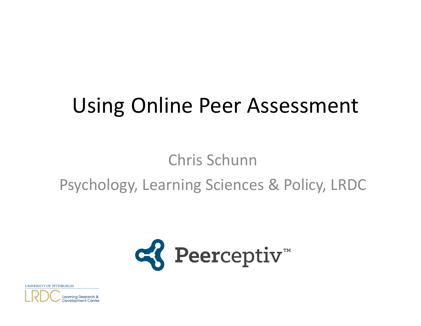# Using Online Peer Assessment

### Chris SchunnPsychology, Learning Sciences & Policy, LRDC



UNIVERSITY OF PITTSBURGH

Learning Research & Development Cente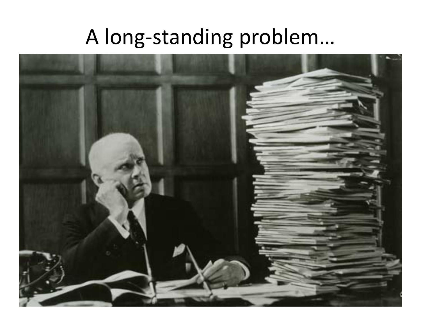## A long-standing problem...

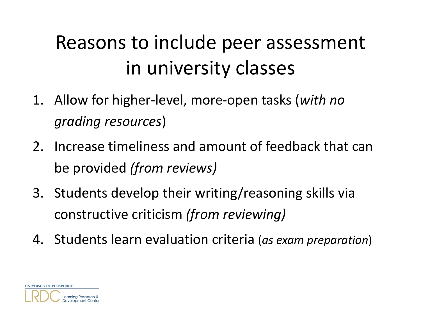# Reasons to include peer assessment in university classes

- 1. Allow for higher‐level, more‐open tasks (*with no grading resources* )
- 2. Increase timeliness and amount of feedback that can be provided *(from reviews)*
- 3. Students develop their writing/reasoning skills via constructive criticism *(from reviewing)*
- 4. Students learn evaluation criteria (*as exam preparation*)

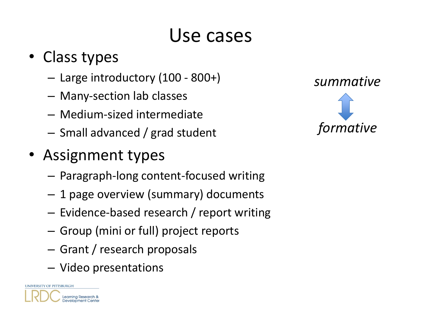### Use cases

### • Class types

- Large introductory (100 ‐ 800+)
- Many‐section lab classes
- Medium‐sized intermediate
- – $-$  Small advanced / grad student
- Assignment types
	- Paragraph‐long content‐focused writing
	- 1 page overview (summary) documents
	- Evidence‐based research / report writing
	- $-$  Group (mini or full) project reports
	- Grant / research proposals
	- Video presentations



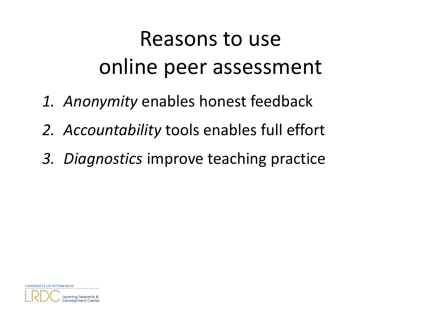# Reasons to use online peer assessment

- *1. Anonymity* enables honest feedback
- *2. Accountability* tools enables full effort
- *3. Diagnostics* improve teaching practice

UNIVERSITY OF PITTSBURGH

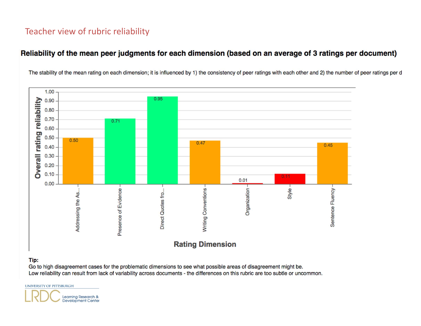#### Teacher view of rubric reliability

#### Reliability of the mean peer judgments for each dimension (based on an average of 3 ratings per document)

The stability of the mean rating on each dimension; it is influenced by 1) the consistency of peer ratings with each other and 2) the number of peer ratings per d



#### Tip:

Go to high disagreement cases for the problematic dimensions to see what possible areas of disagreement might be. Low reliability can result from lack of variability across documents - the differences on this rubric are too subtle or uncommon.

UNIVERSITY OF PITTSBURGH

Learning Research & **Development Center**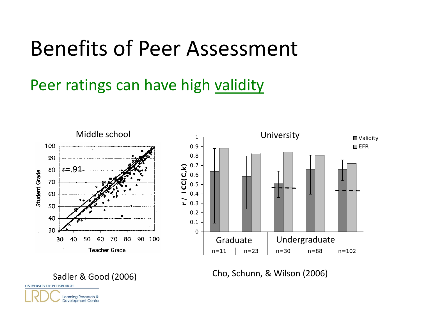Peer ratings can have high validity



Sadler & Good (2006) Cho, Schunn, & Wilson (2006)



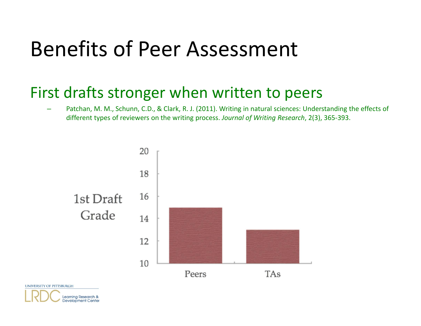#### First drafts stronger when written to peers

 Patchan, M. M., Schunn, C.D., & Clark, R. J. (2011). Writing in natural sciences: Understanding the effects of different types of reviewers on the writing process. *Journal of Writing Research*, 2(3), 365‐393.



UNIVERSITY OF PITTSBURGH

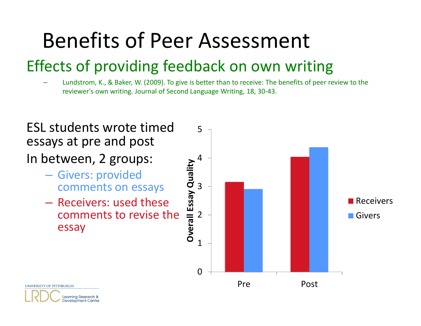### Effects of providing feedback on own writing

 Lundstrom, K., & Baker, W. (2009). To give is better than to receive: The benefits of peer review to the reviewer's own writing. Journal of Second Language Writing, 18, 30‐43.



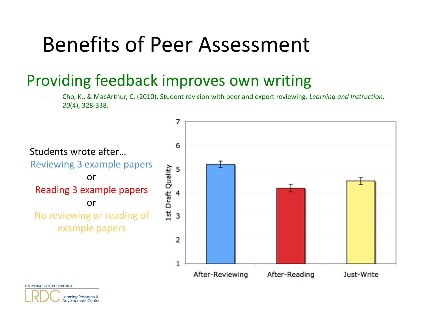#### Providing feedback improves own writing

Learning Research & **Development Center** 

 Cho, K., & MacArthur, C. (2010). Student revision with peer and expert reviewing. *Learning and Instruction, 20*(4), 328‐338.

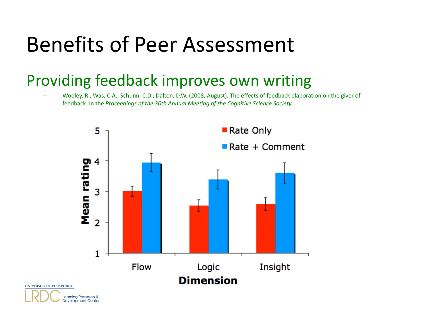#### Providing feedback improves own writing

 Wooley, R., Was, C.A., Schunn, C.D., Dalton, D.W. (2008, August). The effects of feedback elaboration on the giver of feedback. In the *Proceedings of the 30th Annual Meeting of the Cognitive Science Society*.



UNIVERSITY OF PITTSBURGH

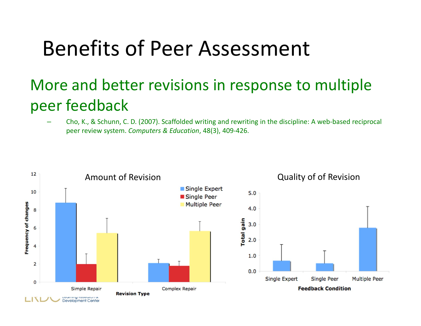### More and better revisions in response to multiple peer feedback

 Cho, K., & Schunn, C. D. (2007). Scaffolded writing and rewriting in the discipline: A web‐based reciprocal peer review system. *Computers & Education*, 48(3), 409‐426.